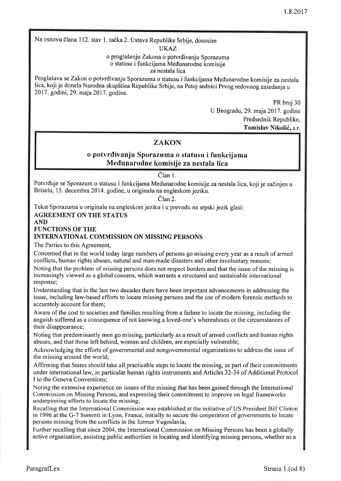Na osnovu člana 112. stav 1. tačka 2. Ustava Republike Srbije, donosim

UKAZ

o proglašenju Zakona o potvrđivanju Sporazuma o statusu i funkcijama Medunarodne komisije

za nestala lica

Proglašava se Zakon o potvrđivanju Sporazuma o statusu i funkcijama Međunarodne komisije za nestala lica, koji je donela Narodna skupština Republike Srbije, na Petoj sednici Prvog redovnog zasedanja u 2017. godini, 29. maja 2017. godine.

> PR broj 30 U Beogradu,29. maja2017. godine Predsednik Republike, Tomislav Nikoli6, s.r.

# **ZAKON**

# o potvrdivanju Sporazuma o statusu i funkcijama Medunarodne komisije za nestala lica

# Član 1.

Potvrđuje se Sporazum o statusu i funkcijama Međunarodne komisije za nestala lica, koji je sačinjen u Briselu, 15. decembra2014. godine, u originalu na engleskom jeziku.

Član 2.

Tekst Sporazuma u originalu na engleskom jeziku i u prevodu na srpski jezik glasi:

AGREEMENT ON THE STATUS

### AND

FUNCTIONS OF THE

# INTERNATIONAL COMMISSION ON MISSING PERSONS

The Parties to this Agreement,

Concemed that in the world today large numbers of persons go missing every year as a result of anned conflicts, human rights abuses, natural and man-made disasters and other involuntary reasons;

Noting that the problem of missing persons does not respect borders and that the issue of the missing is increasingly viewed as a global concern, which warrants a structured and sustainable international response;

Understanding that in the last two decades there have been important advancements in addressing the issue, including law-based efforts to locate missing persons and the use of modern forensic methods to accurately account for them;

Aware of the cost to societies and families resulting from a failure to locate the missing, including the anguish suffered as a consequence of not knowing a loved-one's whereabouts or the circumstances of their disappearance;

Noting that predominantly men go missing, particularly as a result of armed conflicts and human rights abuses, and that those left behind, women and children, are especially vulnerable;

Acknowledging the efforts of governmental and nongovernmental organizations to address the issue of the missing around the world;

Affirming that States should take all practicable steps to locate the missing, as part of their commitments under international law, in particular human rights instruments and Afticles 32-34 of Additional Protocol I to the Geneva Conventions;

Noting the extensive experience on issues of the missing that has been gained through the International Commission on Missing Persons, and expressing their commitment to improve on legal frameworks underpinning efforts to locate the missing;

Recalling that the International Commission was established at the initiative of US President Bill Clinton in 1996 at the G-7 Summit in Lyon, France, initially to secure the cooperation of governments to locate persons missing from the conflicts in the fonner Yugoslavia;

Further recalling that since 2004, the International Commission on Missing Persons has been a globally active organisation, assisting public authorities in locating and identifying missing persons, whether as a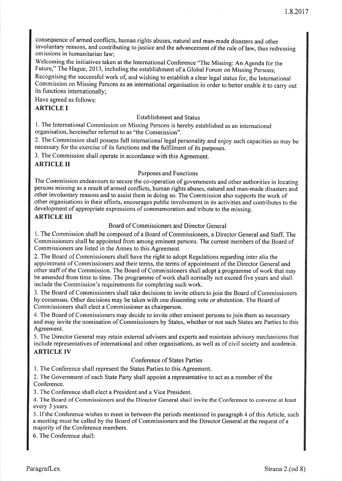consequence of armed conflicts, human rights abuses, natural and man-made disasters and other involuntary reasons, and contributing to justice and the advancement of the rule of law, thus redressing omissions in humanitarian law;

Welcoming the initiatives taken at the International Conference "The Missing: An Agenda for the Future," The Hague, 2013, including the establishment of a Global Forum on Missing Persons; Recognising the successful work of, and wishing to establish a clear legal status for, the International Commission on Missing Persons as an international organisation in order to better enable it to carry out its functions internationally;

Have agreed as follows:

### ARTICLE I

#### Establishment and Status

l. The International Commission on Missing Persons is hereby established as an international organisation, hereinafter referred to as "the Commission".

2. The Commission shall possess full international legal personality and enjoy such capacities as may be necessary for the exercise of its functions and the fulfilment of its purposes.

3. The Commission shall operate in accordance with this Agreement.

### ARTICLE II

#### Purposes and Functions

The Commission endeavours to secure the co-operation of governments and other authorities in locating persons missing as a result of armed conflicts, human rights abuses, natural and man-made disasters and other involuntary reasons and to assist them in doing so. The Commission also supports the work of other organisations in their efforts, encourages public involvement in its activities and contributes to the development of appropriate expressions of commemoration and tribute to the missing.

### ARTICLE III

### Board of Commissioners and Director General

1. The Commission shall be composed of a Board of Commissioners, a Director General and Staff. The Commissioners shall be appointed from among eminent persons. The current members of the Board of Commissioners are listed in the Annex to this Agreement.

2. The Board of Comrnissioners shall have the right to adopt Regulations regarding inter alia the appointment of Commissioners and their terms, the terms of appointment of the Director General and other staff of the Commission. The Board of Commissioners shall adopt a programme of work that may be amended from time to time. The programme of work shall normally not exceed five years and shall include the Commission's requirements for completing such work.

3. The Board of Commissioners shall take decisions to invite others to join the Board of Commissioners by consensus. Other decisions may be taken with one dissenting vote or abstention. The Board of Commissioners shall elect a Commissioner as chairperson.

4. The Board of Commissioners may decide to invite other eminent persons to join them as necessary and may invite the nomination of Commissioners by States, whether or not such States are Parties to this Agreement.

5. The Director General may retain external advisers and experts and maintain advisory mechanisms that include representatives of international and other organisations, as well as of civil society and academia. ARTICLE IV

#### Conference of States Parties

l. The Conference shall represent the States Parties to this Agreement.

2. The Government of each State Party shall appoint a representative to act as a member of the Conference.

3. The Conference shall elect a President and a Vice President.

4. The Board of Commissioners and the Director General shail invite the Conference to convene at least every 3 years.

5. If the Conference wishes to meet in between the periods mentioned in paragraph 4 of this Article, such a meeting must be called by the Board of Commissioners and the Director General at the request of a majority of the Conference members.

6. The Conference shall: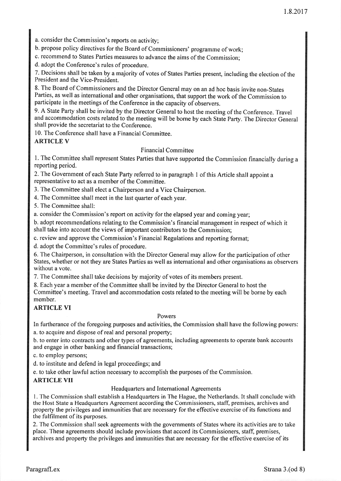a. consider the Commission's reports on activity;

b. propose policy directives for the Board of commissioners' programme of work;

c. recommend to States Parties measures to advance the aims of the Commission;

d. adopt the Conference's rules of procedure.

7. Decisions shall be taken by a majority of votes of States Parties present, including the election of the President and the Vice-President.

8. The Board of Commissioners and the Director General may on an ad hoc basis invite non-States Parties, as well as intemational and other organisations, that support the work of the Commission to participate in the meetings of the Conference in the capacity of observers.

9. A State Party shall be invited by the Director General to host the meeting of the Conference. Travel and accommodation costs related to the meeting will be borne by each State Party. The Director General shall provide the secretariat to the Conference.

10. The Conference shall have a Financial Committee.

# ARTICLE V

### Financial Committee

l. The Committee shall represent States Parties that have supported the Commission financially during <sup>a</sup> reporting period.

2.The Government of each State Party referred to in paragraph I of this Article shall appoint a representative to act as a member of the Committee.

3. The Committee shall elect a Chairperson and a Vice Chairperson.

4. The Committee shall meet in the last quarter of each year.

5. The Committee shall:

a. consider the Commission's report on activity for the elapsed year and coming year;

b. adopt recommendations relating to the Commission's financial management in respect of which it shall take into account the views of important contributors to the Commission;

c. review and approve the Commission's Financial Regulations and reporting format;

d. adopt the Committee's rules of procedure.

6. The Chairperson, in consultation with the Director General may allow for the participation of other States, whether or not they are States Parties as well as international and other organisations as observers without a vote.

7. The Committee shall take decisions by majority of votes of its members present.

8. Each year a member of the Committee shall be invited by the Director General to host the Committee's meeting. Travel and accommodation costs related to the meeting will be borne by each member.

# ARTICLE VI

#### Powers

In furtherance of the foregoing purposes and activities, the Commission shall have the following powers: a. to acquire and dispose of real and personal property;

b. to enter into contracts and other types of agreements, including agreements to operate bank accounts and engage in other banking and financial transactions;

c. to employ persons;

d. to institute and defend in legal proceedings; and

e. to take other lawful action necessary to accomplish the purposes of the Commission.

# ARTICLE VII

### Headquarters and International Agreements

l. The Comrnission shall establish a Headquarters in The Hague, the Netherlands. It shall conclude with the Host State a Headquarters Agreement according the Commissioners, staff, premises, archives and property the privileges and immunities that are necessary for the effective exercise of its functions and the fulfilment of its purposes.

2.The Commission shall seek agreements with the governments of States where its activities are to take place. These agreements should include provisions that accord its Commissioners, staff, premises, archives and property the privileges and immunities that are necessary for the effective exercise of its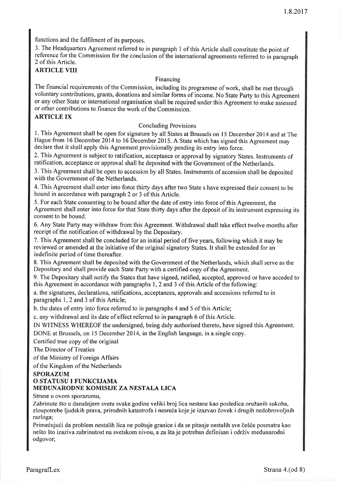functions and the fulfilment of its purposes.

3. The Headquarters Agreement referred to in paragraph I of this Article shall constitute the point of reference for the Commission for the conclusion of the international agreements referred to in paragraph 2 of this Article.

## ARTICLE VIII

#### Financing

The financial requirements of the Commission, including its programme of work, shall be met through voluntary contributions, grants, donations and similar forms of income. No State Party to this Agreement or any other State or international organisation shall be required under this Agreement to make assessed or other contributions to finance the work of the Commission.

# ARTICLE IX

#### Concluding Provisions

l. This Agreement shall be open for signature by all States at Brussels on l5 December 2014 and at The Hague from 16 December 2014 to 16 December 2015. A State which has signed this Agreement may declare that it shall apply this Agreement provisionally pending its entry into force.

2. This Agreement is subject to ratification, acceptance or approval by signatory States. Instruments of ratification, acceptance or approval shall be deposited with the Government of the Netherlands.

3. This Agreement shall be open to accession by all States. Instruments of accession shall be deposited with the Government of the Netherlands.

4. This Agreement shall enter into force thirty days after two State s have expressed their consent to be bound in accordance with paragraph 2 or 3 of this Article.

5. For each State consenting to be bound after the date of entry into force of this Agreement, the Agreement shall enter into force for that State thirty days after the deposit of its instrument expressing its consent to be bound.

6. Any State Parry may withdraw from this Agreement. Withdrawal shall take effect twelve months after receipt of the notification of withdrawal by the Depositary.

7. This Agreement shall be concluded for an initial period of five years, following which it may be reviewed or amended at the initiative of the original signatory States. It shall be extended for an indefinite period of time thereafter.

8. This Agreement shall be deposited with the Government of the Netherlands, which shall serve as the Depositary and shall provide each State Parry with a certified copy of the Agreement.

9. The Depositary shall notify the States that have signed, ratified, accepted, approved or have acceded to this Agreement in accordance with paragraphs 1,2 and 3 of this Article of the following:

a. the signatures, declarations, ratifications, acceptances, approvals and accessions referred to in paragraphs 1, 2 and 3 of this Article;

b. the dates of entry into force referred to in paragraphs 4 and 5 of this Article;

c. any withdrawal and its date of effect referred to in paragraph 6 of this Article.

IN WITNESS WHEREOF the undersigned, being duly authorised thereto, have signed this Agreement. DONE at Brussels, on 15 December 2014, in the English language, in a single copy.

Certified true copy of the original

The Director of Treaties

of the Ministry of Foreign Affairs

of the Kingdom of the Netherlands

#### SPORAZUM

### O STATUSU I FUNKCIJAMA MEDUNARODNE KOMISIJE ZA NESTALA LICA

Strane u ovom sporazumu,

Zabrinute što u današnjem svetu svake godine veliki broj lica nestane kao posledica oružanih sukoba, zloupotrebe ljudskih prava, prirodnih katastrofa i nesreća koje je izazvao čovek i drugih nedobrovoljnih razloga;

Primećujući da problem nestalih lica ne poštuje granice i da se pitanje nestalih sve češće posmatra kao nešto što izaziva zabrinutost na svetskom nivou, a za šta je potreban definisan i održiv međunarodni odgovor;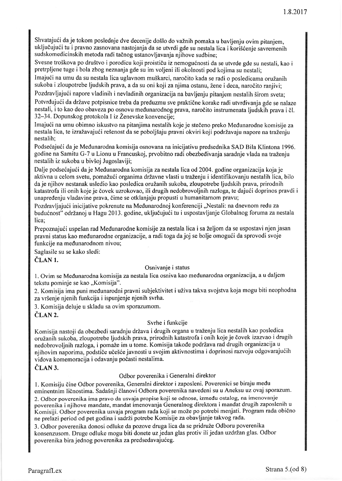Shvatajući da je tokom poslednje dve decenije došlo do važnih pomaka u bavljenju ovim pitanjem, uključujući tu i pravno zasnovana nastojanja da se utvrdi gde su nestala lica i korišćenje savremenih sud skomedicinskih metoda radi tačnog ustanovljavanja njihove sudbine;

Svesne troškova po društvo i porodicu koji proističu iz nemogućnosti da se utvrde gde su nestali, kao i pretrpljene tuge i bola zbog neznanja gde su im voljeni ili okolnosti pod kojima su nestali;

Imajući na umu da su nestala lica uglavnom muškarci, naročito kada se radi o posledicama oružanih sukoba i zloupotrebe ljudskih prava, a da su oni koji za njima ostanu, žene i deca, naročito ranjivi;

Pozdravljajući napore vladinih i nevladinih organizacija na bavljenju pitanjem nestalih širom sveta;

Potvrđujući da države potpisnice treba da preduzmu sve praktične korake radi utvrđivanja gde se nalaze nestali, i to kao deo obaveza po osnovu međunarodnog prava, naročito instrumenata ljudskih prava i čl.  $32-34$ . Dopunskog protokola I iz Ženevske konvencije;

Imajući na umu obimno iskustvo na pitanjima nestalih koje je stečeno preko Međunarodne komisije za nestala lica, te izražavajući rešenost da se poboljšaju pravni okviri koji podržavaju napore na traženju nestalih;

Podsećajući da je Međunarodna komisija osnovana na inicijativu predsednika SAD Bila Klintona 1996. godine na Samitu G-7 u Lionu u Francuskoj, prvobitno radi obezbeđivanja saradnje vlada na traženju nestalih iz sukoba u bivšoj Jugoslaviji;

Dalje podsećajući da je Međunarodna komisija za nestala lica od 2004. godine organizacija koja je aktivna u celom svetu, pomažući organima državne vlasti u traženju i identifikovanju nestalih lica, bilo da je njihov nestanak usledio kao posledica oružanih sukoba, zloupotrebe ljudskih prava, prirodnih katastrofa ili onih koje je dovek uzrokovao, ilidrugih nedobrovoljnih razloga, te daju6i doprinos pravdi i unapređenju vladavine prava, čime se otklanjaju propusti u humanitarnom pravu;

Pozdravljajući inicijative pokrenute na Međunarodnoj konferenciji "Nestali: na dnevnom redu za budućnost" održanoj u Hagu 2013. godine, uključujući tu i uspostavljanje Globalnog foruma za nestala lica;

Prepoznajući uspešan rad Međunarodne komisije za nestala lica i sa željom da se uspostavi njen jasan pravni status kao međunarodne organizacije, a radi toga da joj se bolje omogući da sprovodi svoje funkcije na medunarodnom nivou;

Saglasile su se kako sledi:

ČLAN 1.

#### Osnivanje i status

l. Ovim se Medunarodna komisija za nestala lica osniva kao medunarodna organizacija, a u daljem tekstu porninje se kao,,Komisija".

2. Komisija ima puni međunarodni pravni subjektivitet i uživa takva svojstva koja mogu biti neophodna za vr5enje njenih funkcija i ispunjenje njenih svrha.

3. Komisija deluje u skladu sa ovim sporazumom.

ČLAN<sub>2</sub>.

#### Svrhe i funkcije

Komisija nastoji da obezbedi saradnju država i drugih organa u traženju lica nestalih kao posledica oružanih sukoba, zloupotrebe ljudskih prava, prirodnih katastrofa i onih koje je čovek izazvao i drugih nedobrovoljnih razloga, i pomaže im u tome. Komisija takođe podržava rad drugih organizacija u njihovim naporima, podstiče učešće javnosti u svojim aktivnostima i doprinosi razvoju odgovarajućih vidova komemoracija i odavanju počasti nestalima.

### ČLAN 3.

#### Odbor poverenika i Generalni direktor

1. Komisiju čine Odbor poverenika, Generalni direktor i zaposleni. Poverenici se biraju među eminentnim ličnostima. Sadašnji članovi Odbora poverenika navedeni su u Aneksu uz ovaj sporazum. 2. Odbor poverenika ima pravo da usvaja propise koji se odnose, izmedu ostalog, na imenovanje poverenika i njihove mandate, mandat imenovanja Generalnog direktora i mandat drugih zaposlenih <sup>u</sup> Komisiji. Odbor poverenika usvaja program rada koji se može po potrebi menjati. Program rada obično ne prelazi period od pet godina i sadrži potrebe Komisije za obavljanje takvog rada.

3. Odbor poverenika donosi odluke da pozove druga lica da se pridruže Odboru poverenika konsenzusom. Druge odluke mogu biti donete uz jedan glas protiv ili jedan uzdržan glas. Odbor poverenika bira jednog poverenika za predsedavajućeg.